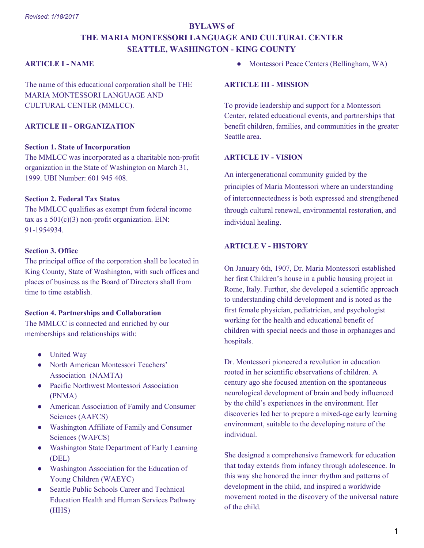# **BYLAWS of THE MARIA MONTESSORI LANGUAGE AND CULTURAL CENTER SEATTLE, WASHINGTON - KING COUNTY**

## **ARTICLE I - NAME**

The name of this educational corporation shall be THE MARIA MONTESSORI LANGUAGE AND CULTURAL CENTER (MMLCC).

# **ARTICLE II - ORGANIZATION**

#### **Section 1. State of Incorporation**

The MMLCC was incorporated as a charitable non-profit organization in the State of Washington on March 31, 1999. UBI Number: 601 945 408.

# **Section 2. Federal Tax Status**

The MMLCC qualifies as exempt from federal income tax as a  $501(c)(3)$  non-profit organization. EIN: 91-1954934.

# **Section 3. Office**

The principal office of the corporation shall be located in King County, State of Washington, with such offices and places of business as the Board of Directors shall from time to time establish.

#### **Section 4. Partnerships and Collaboration**

The MMLCC is connected and enriched by our memberships and relationships with:

- United Way
- North American Montessori Teachers' Association (NAMTA)
- Pacific Northwest Montessori Association (PNMA)
- American Association of Family and Consumer Sciences (AAFCS)
- Washington Affiliate of Family and Consumer Sciences (WAFCS)
- Washington State Department of Early Learning (DEL)
- Washington Association for the Education of Young Children (WAEYC)
- Seattle Public Schools Career and Technical Education Health and Human Services Pathway (HHS)

Montessori Peace Centers (Bellingham, WA)

#### **ARTICLE III - MISSION**

To provide leadership and support for a Montessori Center, related educational events, and partnerships that benefit children, families, and communities in the greater Seattle area.

#### **ARTICLE IV - VISION**

An intergenerational community guided by the principles of Maria Montessori where an understanding of interconnectedness is both expressed and strengthened through cultural renewal, environmental restoration, and individual healing.

# **ARTICLE V - HISTORY**

On January 6th, 1907, Dr. Maria Montessori established her first Children's house in a public housing project in Rome, Italy. Further, she developed a scientific approach to understanding child development and is noted as the first female physician, pediatrician, and psychologist working for the health and educational benefit of children with special needs and those in orphanages and hospitals.

Dr. Montessori pioneered a revolution in education rooted in her scientific observations of children. A century ago she focused attention on the spontaneous neurological development of brain and body influenced by the child's experiences in the environment. Her discoveries led her to prepare a mixed-age early learning environment, suitable to the developing nature of the individual.

She designed a comprehensive framework for education that today extends from infancy through adolescence. In this way she honored the inner rhythm and patterns of development in the child, and inspired a worldwide movement rooted in the discovery of the universal nature of the child.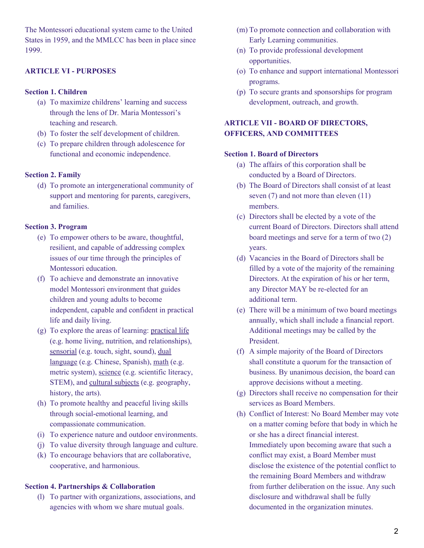The Montessori educational system came to the United States in 1959, and the MMLCC has been in place since 1999.

# **ARTICLE VI - PURPOSES**

## **Section 1. Children**

- (a) To maximize childrens' learning and success through the lens of Dr. Maria Montessori's teaching and research.
- (b) To foster the self development of children.
- (c) To prepare children through adolescence for functional and economic independence.

# **Section 2. Family**

(d) To promote an intergenerational community of support and mentoring for parents, caregivers, and families.

# **Section 3. Program**

- (e) To empower others to be aware, thoughtful, resilient, and capable of addressing complex issues of our time through the principles of Montessori education.
- (f) To achieve and demonstrate an innovative model Montessori environment that guides children and young adults to become independent, capable and confident in practical life and daily living.
- (g) To explore the areas of learning: practical life (e.g. home living, nutrition, and relationships), sensorial (e.g. touch, sight, sound), dual language (e.g. Chinese, Spanish), math (e.g. metric system), science (e.g. scientific literacy, STEM), and cultural subjects (e.g. geography, history, the arts).
- (h) To promote healthy and peaceful living skills through social-emotional learning, and compassionate communication.
- (i) To experience nature and outdoor environments.
- (j) To value diversity through language and culture.
- (k) To encourage behaviors that are collaborative, cooperative, and harmonious.

#### **Section 4. Partnerships & Collaboration**

(l) To partner with organizations, associations, and agencies with whom we share mutual goals.

- (m) To promote connection and collaboration with Early Learning communities.
- (n) To provide professional development opportunities.
- (o) To enhance and support international Montessori programs.
- (p) To secure grants and sponsorships for program development, outreach, and growth.

# **ARTICLE VII - BOARD OF DIRECTORS, OFFICERS, AND COMMITTEES**

# **Section 1. Board of Directors**

- (a) The affairs of this corporation shall be conducted by a Board of Directors.
- (b) The Board of Directors shall consist of at least seven (7) and not more than eleven (11) members.
- (c) Directors shall be elected by a vote of the current Board of Directors. Directors shall attend board meetings and serve for a term of two (2) years.
- (d) Vacancies in the Board of Directors shall be filled by a vote of the majority of the remaining Directors. At the expiration of his or her term, any Director MAY be re-elected for an additional term.
- (e) There will be a minimum of two board meetings annually, which shall include a financial report. Additional meetings may be called by the President.
- (f) A simple majority of the Board of Directors shall constitute a quorum for the transaction of business. By unanimous decision, the board can approve decisions without a meeting.
- (g) Directors shall receive no compensation for their services as Board Members.
- (h) Conflict of Interest: No Board Member may vote on a matter coming before that body in which he or she has a direct financial interest. Immediately upon becoming aware that such a conflict may exist, a Board Member must disclose the existence of the potential conflict to the remaining Board Members and withdraw from further deliberation on the issue. Any such disclosure and withdrawal shall be fully documented in the organization minutes.